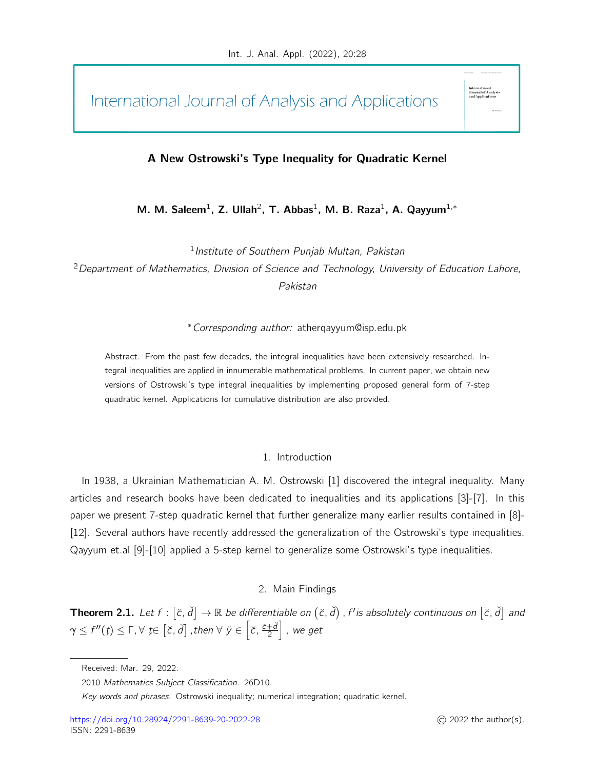International Journal of Analysis and Applications

# A New Ostrowski's Type Inequality for Quadratic Kernel

M. M. Saleem<sup>1</sup>, Z. Ullah<sup>2</sup>, T. Abbas<sup>1</sup>, M. B. Raza<sup>1</sup>, A. Qayyum<sup>1,\*</sup>

<sup>1</sup> Institute of Southern Punjab Multan, Pakistan

 $2$  Department of Mathematics, Division of Science and Technology, University of Education Lahore, Pakistan

<sup>∗</sup>Corresponding author: atherqayyum@isp.edu.pk

Abstract. From the past few decades, the integral inequalities have been extensively researched. Integral inequalities are applied in innumerable mathematical problems. In current paper, we obtain new versions of Ostrowski's type integral inequalities by implementing proposed general form of 7-step quadratic kernel. Applications for cumulative distribution are also provided.

## 1. Introduction

In 1938, a Ukrainian Mathematician A. M. Ostrowski [1] discovered the integral inequality. Many articles and research books have been dedicated to inequalities and its applications [3]-[7]. In this paper we present 7-step quadratic kernel that further generalize many earlier results contained in [8]- [12]. Several authors have recently addressed the generalization of the Ostrowski's type inequalities. Qayyum et.al [9]-[10] applied a 5-step kernel to generalize some Ostrowski's type inequalities.

# 2. Main Findings

**Theorem 2.1.** Let  $f : [\check{c}, \check{d}] \to \mathbb{R}$  be differentiable on  $(\check{c}, \check{d})$  , f' is absolutely continuous on  $[\check{c}, \check{d}]$  and  $\gamma\leq f''(t)\leq \Gamma, \forall$   $t\in \left[ \check c, \check d \right]$  , then  $\forall$   $\ddot y\in \left[ \check c, \frac{\check c+\check d}{2} \right]$  $\left. \frac{+\v{d}}{2} \right|$  , we get

Journal of Anal<br>and Applicatio<mark>r</mark>

Received: Mar. 29, 2022.

<sup>2010</sup> Mathematics Subject Classification. 26D10.

Key words and phrases. Ostrowski inequality; numerical integration; quadratic kernel.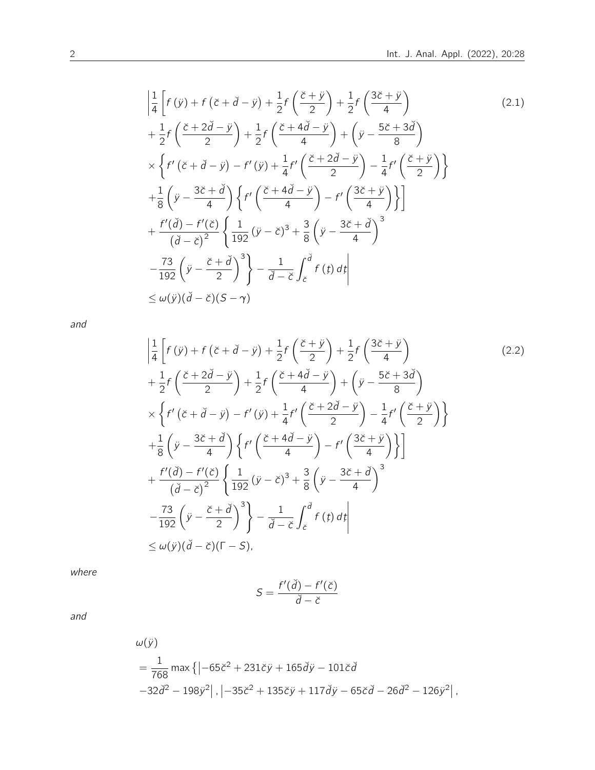$$
\left| \frac{1}{4} \left[ f(\ddot{y}) + f(\ddot{c} + \ddot{d} - \ddot{y}) + \frac{1}{2} f\left(\frac{\ddot{c} + \ddot{y}}{2}\right) + \frac{1}{2} f\left(\frac{3\ddot{c} + \ddot{y}}{4}\right) \right] \right|
$$
\n
$$
+ \frac{1}{2} f\left(\frac{\ddot{c} + 2\ddot{d} - \ddot{y}}{2}\right) + \frac{1}{2} f\left(\frac{\ddot{c} + 4\dot{d} - \ddot{y}}{4}\right) + \left(\ddot{y} - \frac{5\ddot{c} + 3\ddot{d}}{8}\right)
$$
\n
$$
\times \left\{ f'(\ddot{c} + \ddot{d} - \ddot{y}) - f'(\ddot{y}) + \frac{1}{4} f'\left(\frac{\ddot{c} + 2\ddot{d} - \ddot{y}}{2}\right) - \frac{1}{4} f'\left(\frac{\ddot{c} + \ddot{y}}{2}\right) \right\}
$$
\n
$$
+ \frac{1}{8} \left(\ddot{y} - \frac{3\ddot{c} + \ddot{d}}{4}\right) \left\{ f'\left(\frac{\ddot{c} + 4\ddot{d} - \ddot{y}}{4}\right) - f'\left(\frac{3\ddot{c} + \ddot{y}}{4}\right) \right\}
$$
\n
$$
+ \frac{f'(\ddot{d}) - f'(\ddot{c})}{(\ddot{d} - \ddot{c})^2} \left\{ \frac{1}{192} (\ddot{y} - \ddot{c})^3 + \frac{3}{8} (\ddot{y} - \frac{3\dot{c} + \ddot{d}}{4})^3 \right\}
$$
\n
$$
- \frac{73}{192} (\ddot{y} - \frac{\ddot{c} + \ddot{d}}{2})^3 \right\} - \frac{1}{\ddot{d} - \ddot{c}} \int_{\dot{c}}^{\dot{d}} f(t) dt
$$
\n
$$
\le \omega(\ddot{y})(\ddot{d} - \ddot{c})(S - \gamma)
$$
\n(2.1)

and

$$
\left| \frac{1}{4} \left[ f(\ddot{y}) + f(\ddot{c} + \ddot{d} - \ddot{y}) + \frac{1}{2} f\left(\frac{\ddot{c} + \ddot{y}}{2}\right) + \frac{1}{2} f\left(\frac{3\ddot{c} + \ddot{y}}{4}\right) \right] \right|
$$
\n
$$
+ \frac{1}{2} f\left(\frac{\ddot{c} + 2\ddot{d} - \ddot{y}}{2}\right) + \frac{1}{2} f\left(\frac{\ddot{c} + 4\ddot{d} - \ddot{y}}{4}\right) + \left(\ddot{y} - \frac{5\ddot{c} + 3\ddot{d}}{8}\right)
$$
\n
$$
\times \left\{ f'(\ddot{c} + \ddot{d} - \ddot{y}) - f'(\ddot{y}) + \frac{1}{4} f'\left(\frac{\ddot{c} + 2\ddot{d} - \ddot{y}}{2}\right) - \frac{1}{4} f'\left(\frac{\ddot{c} + \ddot{y}}{2}\right) \right\}
$$
\n
$$
+ \frac{1}{8} \left(\ddot{y} - \frac{3\ddot{c} + \ddot{d}}{4}\right) \left\{ f'\left(\frac{\ddot{c} + 4\ddot{d} - \ddot{y}}{4}\right) - f'\left(\frac{3\ddot{c} + \ddot{y}}{4}\right) \right\}
$$
\n
$$
+ \frac{f'(\ddot{d}) - f'(\ddot{c})}{(\ddot{d} - \ddot{c})^2} \left\{ \frac{1}{192} (\ddot{y} - \ddot{c})^3 + \frac{3}{8} (\ddot{y} - \frac{3\ddot{c} + \ddot{d}}{4})^3 \right\}
$$
\n
$$
- \frac{73}{192} (\ddot{y} - \frac{\ddot{c} + \ddot{d}}{2})^3 \right\} - \frac{1}{\ddot{d} - \ddot{c}} \int_{\dot{c}}^{\ddot{d}} f(t) dt
$$
\n
$$
\le \omega(\ddot{y})(\ddot{d} - \ddot{c})(\Gamma - S),
$$
\n(10.10)

where

$$
S = \frac{f'(\check{d}) - f'(\check{c})}{\check{d} - \check{c}}
$$

and

$$
\omega(\ddot{y}) = \frac{1}{768} \max \{ | -65\ddot{\epsilon}^2 + 231\ddot{\epsilon}\ddot{y} + 165\ddot{d}\dot{y} - 101\ddot{\epsilon}\dot{d} - 32\ddot{d}^2 - 198\ddot{y}^2 |, | -35\ddot{\epsilon}^2 + 135\ddot{\epsilon}\ddot{y} + 117\ddot{d}\ddot{y} - 65\ddot{\epsilon}\dot{d} - 26\ddot{d}^2 - 126\ddot{y}^2 |, | -35\ddot{\epsilon}^2 + 135\ddot{\epsilon}\ddot{y} + 117\ddot{d}\ddot{y} - 65\ddot{\epsilon}\dot{d} - 26\ddot{d}^2 - 126\ddot{y}^2 |, | -35\ddot{\epsilon}^2 + 135\ddot{\epsilon}\ddot{y} + 117\ddot{d}\ddot{y} - 65\ddot{\epsilon}\dot{d} - 26\ddot{d}^2 - 126\ddot{y}^2 |, | -35\ddot{\epsilon}^2 + 135\ddot{\epsilon}\ddot{y} + 117\ddot{d}\ddot{y} - 65\ddot{\epsilon}\dot{d} - 26\ddot{d}^2 - 126\ddot{y}^2 |, | -35\ddot{\epsilon}^2 + 135\ddot{\epsilon}\ddot{y} + 117\ddot{d}\ddot{y} - 65\ddot{\epsilon}\ddot{d} - 26\ddot{d}^2 - 126\ddot{y}^2 |, | -35\ddot{\epsilon}\ddot{y} + 135\ddot{\epsilon}\ddot{y} + 117\ddot{d}\ddot{y} - 65\ddot{\epsilon}\ddot{d} - 26\ddot{d}^2 - 126\ddot{y}^2 |, | -35\ddot{\epsilon}\ddot{y} + 135\ddot{\epsilon}\ddot{y} + 117\ddot{d}\ddot{y} - 65\ddot{\epsilon}\ddot{d} - 26\ddot{d}^2 - 126\ddot{y}^2 |, | -35\ddot{\epsilon}\ddot{y} + 135\ddot{\epsilon}\ddot{y} + 117\ddot{d}\ddot{y} -
$$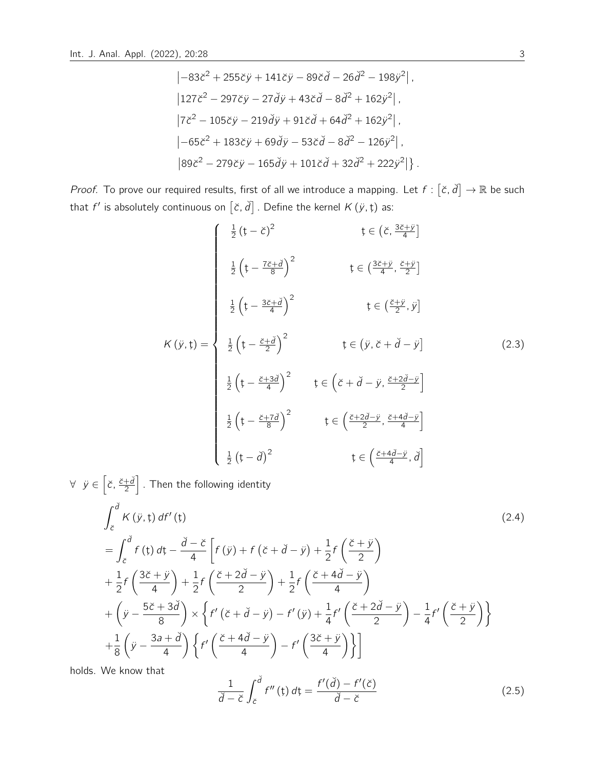$$
\begin{aligned}\n&\left[-83\check{c}^2+255\check{c}\check{y}+141\check{c}\check{y}-89\check{c}\check{d}-26\check{d}^2-198\check{y}^2\right], \\
&\left[127\check{c}^2-297\check{c}\check{y}-27\check{d}\check{y}+43\check{c}\check{d}-8\check{d}^2+162\check{y}^2\right], \\
&\left[7\check{c}^2-105\check{c}\check{y}-219\check{d}\check{y}+91\check{c}\check{d}+64\check{d}^2+162\check{y}^2\right], \\
&\left[-65\check{c}^2+183\check{c}\check{y}+69\check{d}\check{y}-53\check{c}\check{d}-8\check{d}^2-126\check{y}^2\right], \\
&\left[89\check{c}^2-279\check{c}\check{y}-165\check{d}\check{y}+101\check{c}\check{d}+32\check{d}^2+222\check{y}^2\right]\right].\n\end{aligned}
$$

Proof. To prove our required results, first of all we introduce a mapping. Let  $f : [\check{c}, \check{d}] \to \mathbb{R}$  be such that  $f'$  is absolutely continuous on  $[\check{c}, \check{d}]$  . Define the kernel  $K(\check{y}, \check{t})$  as:

$$
K ( \ddot{y}, t ) = \begin{cases} \frac{1}{2} (t - \ddot{\zeta})^2 & t \in (\breve{\zeta}, \frac{3\breve{\zeta} + \ddot{y}}{4}] \\ \frac{1}{2} (t - \frac{7\breve{\zeta} + \ddot{\check{d}}}{8})^2 & t \in (\frac{3\breve{\zeta} + \ddot{y}}{4}, \frac{\breve{\zeta} + \ddot{y}}{2}] \\ \frac{1}{2} (t - \frac{3\breve{\zeta} + \ddot{\check{d}}}{4})^2 & t \in (\breve{y}, \breve{\zeta} + \breve{d} - \dot{y}) \\ \frac{1}{2} (t - \frac{\breve{\zeta} + 3\breve{d}}{4})^2 & t \in (\breve{y}, \breve{\zeta} + \breve{d} - \dot{y}) \end{cases} \tag{2.3}
$$
\n
$$
\frac{1}{2} (t - \frac{\breve{\zeta} + 3\breve{d}}{4})^2 \qquad t \in (\breve{\zeta} + \breve{d} - \ddot{y}, \frac{\breve{\zeta} + 2\breve{d} - \ddot{y}}{2}]
$$
\n
$$
\frac{1}{2} (t - \frac{\breve{\zeta} + 7\breve{d}}{8})^2 \qquad t \in (\frac{\breve{\zeta} + 2\breve{d} - \ddot{y}}{2}, \frac{\breve{\zeta} + 4\breve{d} - \dot{y}}{4}]
$$
\n
$$
\frac{1}{2} (t - \breve{d})^2 \qquad t \in (\frac{\breve{\zeta} + 4\breve{d} - \ddot{y}}{4}, \breve{d})
$$

$$
\forall \ \ \dot{y} \in \left[\check{c}, \frac{\check{c}+\check{d}}{2}\right]. \text{ Then the following identity}
$$
\n
$$
\int_{\check{c}}^{\check{d}} K(\ddot{y}, t) \, df'(t) \tag{2.4}
$$
\n
$$
= \int_{\check{c}}^{\check{d}} f(t) \, dt - \frac{\check{d}-\check{c}}{4} \left[ f(\ddot{y}) + f(\check{c}+\check{d}-\dot{y}) + \frac{1}{2}f\left(\frac{\check{c}+\dot{y}}{2}\right) \right.
$$
\n
$$
+ \frac{1}{2}f\left(\frac{3\check{c}+\dot{y}}{4}\right) + \frac{1}{2}f\left(\frac{\check{c}+2\check{d}-\dot{y}}{2}\right) + \frac{1}{2}f\left(\frac{\check{c}+4\check{d}-\dot{y}}{4}\right)
$$
\n
$$
+ \left(\dot{y} - \frac{5\check{c}+3\check{d}}{8}\right) \times \left\{ f'(\check{c}+\check{d}-\dot{y}) - f'(\dot{y}) + \frac{1}{4}f'\left(\frac{\check{c}+2\check{d}-\dot{y}}{2}\right) - \frac{1}{4}f'\left(\frac{\check{c}+\dot{y}}{2}\right) \right\}
$$
\n
$$
+ \frac{1}{8}\left(\dot{y} - \frac{3a+\check{d}}{4}\right) \left\{ f'\left(\frac{\check{c}+4\check{d}-\dot{y}}{4}\right) - f'\left(\frac{3\check{c}+\dot{y}}{4}\right) \right\}
$$
\n(2.4)

holds. We know that

$$
\frac{1}{\check{d}-\check{c}}\int_{\check{c}}^{\check{d}}f''\left(\tau\right)d\tau=\frac{f'(\check{d})-f'(\check{c})}{\check{d}-\check{c}}\tag{2.5}
$$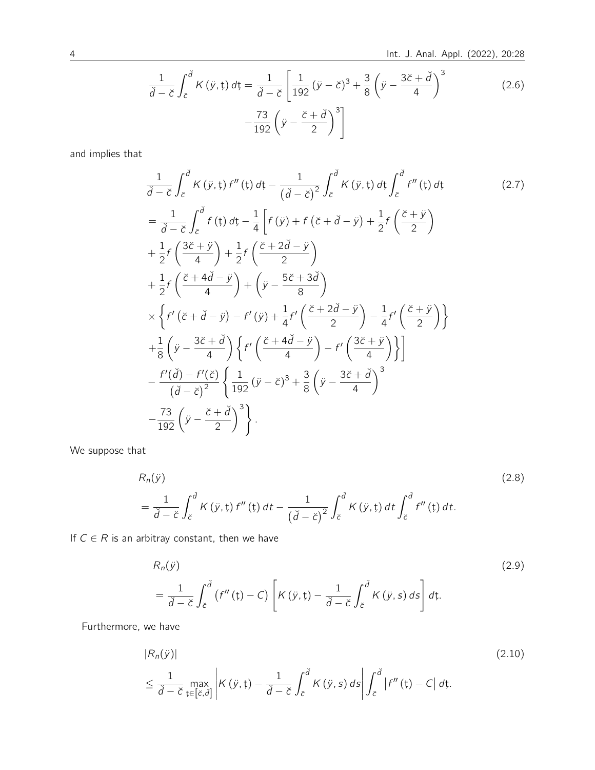$$
\frac{1}{\check{d}-\check{\epsilon}}\int_{\check{\epsilon}}^{\check{d}}K(\dot{y},t)\,d\tau = \frac{1}{\check{d}-\check{\epsilon}}\left[\frac{1}{192}(\dot{y}-\check{\epsilon})^3 + \frac{3}{8}\left(\dot{y}-\frac{3\check{\epsilon}+\check{d}}{4}\right)^3 - \frac{73}{192}\left(\dot{y}-\frac{\check{\epsilon}+\check{d}}{2}\right)^3\right]
$$
(2.6)

and implies that

1 dˇ− cˇ Z <sup>d</sup><sup>ˇ</sup> cˇ K (¨y,ţ) f <sup>00</sup> (ţ) dţ − 1 dˇ− cˇ 2 Z <sup>d</sup><sup>ˇ</sup> cˇ K (¨y,ţ) dţ Z <sup>d</sup><sup>ˇ</sup> cˇ f <sup>00</sup> (ţ) dţ (2.7) = 1 dˇ− cˇ Z <sup>d</sup><sup>ˇ</sup> cˇ f (ţ) dţ − 1 4 f (¨y ) + f cˇ + dˇ− y¨ + 1 2 f cˇ + ¨y 2 + 1 2 f 3ˇc + ¨y 4 + 1 2 f cˇ + 2dˇ− y¨ 2 + 1 2 f cˇ + 4dˇ− y¨ 4 + y¨ − 5ˇc + 3dˇ 8 × f 0 cˇ + dˇ− y¨ − f 0 (¨<sup>y</sup> ) + <sup>1</sup> 4 f 0 cˇ + 2dˇ− y¨ 2 − 1 4 f 0 cˇ + ¨y 2 + 1 8 y¨ − 3ˇc + dˇ 4 <sup>f</sup> 0 cˇ + 4dˇ− y¨ 4 − f 0 3ˇc + ¨y 4 − f 0 (dˇ) − f 0 (ˇc) dˇ− cˇ 2 ( 1 <sup>192</sup> (¨<sup>y</sup> <sup>−</sup> <sup>c</sup>ˇ) <sup>3</sup> + 3 8 y¨ − 3ˇc + dˇ 4 3 − 73 <sup>192</sup> y¨ − cˇ + dˇ 2 3 ) .

We suppose that

$$
R_n(\ddot{y})
$$
\n
$$
= \frac{1}{\ddot{d}-\breve{c}} \int_{\breve{c}}^{\breve{d}} K(\ddot{y},t) f''(t) dt - \frac{1}{(\breve{d}-\breve{c})^2} \int_{\breve{c}}^{\breve{d}} K(\ddot{y},t) dt \int_{\breve{c}}^{\breve{d}} f''(t) dt.
$$
\n(2.8)

If  $C \in R$  is an arbitray constant, then we have

$$
R_n(\ddot{y})
$$
\n
$$
= \frac{1}{\breve{d}-\breve{c}} \int_{\breve{c}}^{\breve{d}} \left( f''(\mathfrak{t}) - C \right) \left[ K(\ddot{y}, \mathfrak{t}) - \frac{1}{\breve{d}-\breve{c}} \int_{\breve{c}}^{\breve{d}} K(\ddot{y}, s) \, ds \right] d\mathfrak{t}.
$$
\n(2.9)

Furthermore, we have

$$
|R_n(\ddot{y})|
$$
\n
$$
\leq \frac{1}{\ddot{d}-\breve{c}} \max_{\mathbf{t}\in[\breve{c},\ddot{d}]} \left| K(\ddot{y},\mathbf{t}) - \frac{1}{\ddot{d}-\breve{c}} \int_{\breve{c}}^{\breve{d}} K(\ddot{y},s) \, ds \right| \int_{\breve{c}}^{\breve{d}} |f''(\mathbf{t}) - C| \, d\mathbf{t}.
$$
\n(2.10)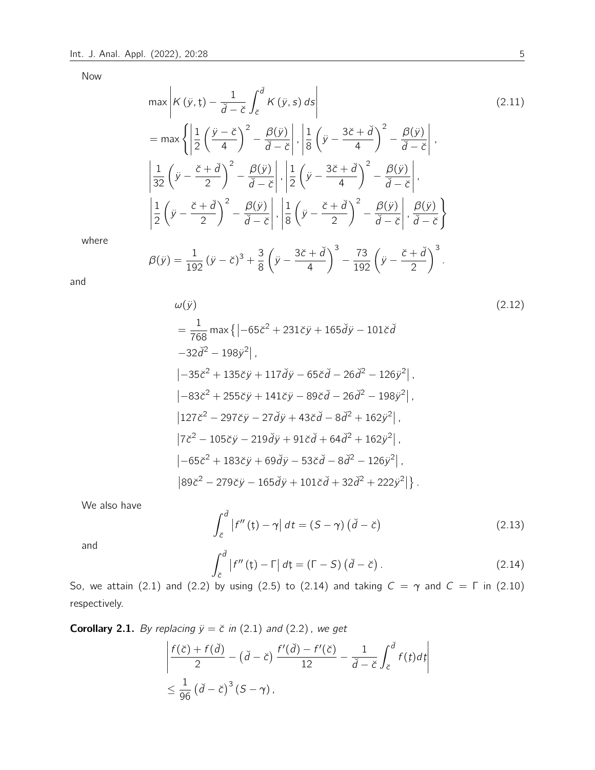Now

$$
\max \left| K(\ddot{y},t) - \frac{1}{\ddot{d} - \breve{c}} \int_{\breve{c}}^{\breve{d}} K(\ddot{y},s) ds \right|
$$
\n
$$
= \max \left\{ \left| \frac{1}{2} \left( \frac{\ddot{y} - \breve{c}}{4} \right)^2 - \frac{\beta(\ddot{y})}{\breve{d} - \breve{c}} \right|, \left| \frac{1}{8} \left( \ddot{y} - \frac{3\breve{c} + \breve{d}}{4} \right)^2 - \frac{\beta(\ddot{y})}{\breve{d} - \breve{c}} \right|, \left| \frac{1}{32} \left( \ddot{y} - \frac{\breve{c} + \breve{d}}{2} \right)^2 - \frac{\beta(\ddot{y})}{\breve{d} - \breve{c}} \right|, \left| \frac{1}{2} \left( \ddot{y} - \frac{3\breve{c} + \breve{d}}{4} \right)^2 - \frac{\beta(\ddot{y})}{\breve{d} - \breve{c}} \right|, \left| \frac{1}{2} \left( \ddot{y} - \frac{\breve{c} + \breve{d}}{2} \right)^2 - \frac{\beta(\ddot{y})}{\breve{d} - \breve{c}} \right|, \left| \frac{1}{8} \left( \ddot{y} - \frac{\breve{c} + \breve{d}}{2} \right)^2 - \frac{\beta(\ddot{y})}{\breve{d} - \breve{c}} \right|, \frac{\beta(\ddot{y})}{\breve{d} - \breve{c}} \right\}
$$
\n(2.11)

where

$$
\beta(\ddot{y}) = \frac{1}{192} (\ddot{y} - \ddot{c})^3 + \frac{3}{8} (\ddot{y} - \frac{3\ddot{c} + \check{d}}{4})^3 - \frac{73}{192} (\ddot{y} - \frac{\ddot{c} + \check{d}}{2})^3.
$$

and

$$
\omega(\ddot{y})
$$
\n
$$
= \frac{1}{768} \max \{ | -65\ddot{\epsilon}^2 + 231\ddot{\epsilon}\dot{y} + 165\ddot{d}\dot{y} - 101\ddot{\epsilon}\dot{d}
$$
\n
$$
-32\ddot{d}^2 - 198\ddot{y}^2 |,
$$
\n
$$
|-35\ddot{\epsilon}^2 + 135\ddot{\epsilon}\ddot{y} + 117\ddot{d}\ddot{y} - 65\ddot{\epsilon}\dot{d} - 26\ddot{d}^2 - 126\ddot{y}^2 |,
$$
\n
$$
|-83\ddot{\epsilon}^2 + 255\ddot{\epsilon}\ddot{y} + 141\ddot{\epsilon}\ddot{y} - 89\ddot{\epsilon}\dot{d} - 26\ddot{d}^2 - 198\ddot{y}^2 |,
$$
\n
$$
|127\ddot{\epsilon}^2 - 297\ddot{\epsilon}\ddot{y} - 27\ddot{d}\dot{y} + 43\ddot{\epsilon}\dot{d} - 8\ddot{d}^2 + 162\dot{y}^2 |,
$$
\n
$$
|7\ddot{\epsilon}^2 - 105\ddot{\epsilon}\ddot{y} - 219\ddot{d}\dot{y} + 91\ddot{\epsilon}\dot{d} + 64\ddot{d}^2 + 162\dot{y}^2 |,
$$
\n
$$
|-65\ddot{\epsilon}^2 + 183\ddot{\epsilon}\ddot{y} + 69\ddot{d}\dot{y} - 53\ddot{\epsilon}\dot{d} - 8\ddot{d}^2 - 126\dot{y}^2 |,
$$
\n
$$
|89\ddot{\epsilon}^2 - 279\ddot{\epsilon}\ddot{y} - 165\ddot{d}\dot{y} + 101\ddot{\epsilon}\dot{d} + 32\ddot{d}^2 + 222\dot{y}^2 | \}.
$$

We also have

$$
\int_{\breve{c}}^{\breve{d}} |f''(\mathfrak{t}) - \gamma| \, dt = (S - \gamma) \left( \breve{d} - \breve{c} \right) \tag{2.13}
$$

and

$$
\int_{\breve{c}}^{\breve{d}} |f''(\mathfrak{t}) - \Gamma| d\mathfrak{t} = (\Gamma - S) (\breve{d} - \breve{c}). \tag{2.14}
$$

So, we attain (2.1) and (2.2) by using (2.5) to (2.14) and taking  $C = \gamma$  and  $C = \Gamma$  in (2.10) respectively.

**Corollary 2.1.** By replacing  $\ddot{y} = \breve{c}$  in (2.1) and (2.2), we get

$$
\left| \frac{f(\breve{c}) + f(\breve{d})}{2} - (\breve{d} - \breve{c}) \frac{f'(\breve{d}) - f'(\breve{c})}{12} - \frac{1}{\breve{d} - \breve{c}} \int_{\breve{c}}^{\breve{d}} f(t) dt \right|
$$
  

$$
\leq \frac{1}{96} (\breve{d} - \breve{c})^3 (S - \gamma),
$$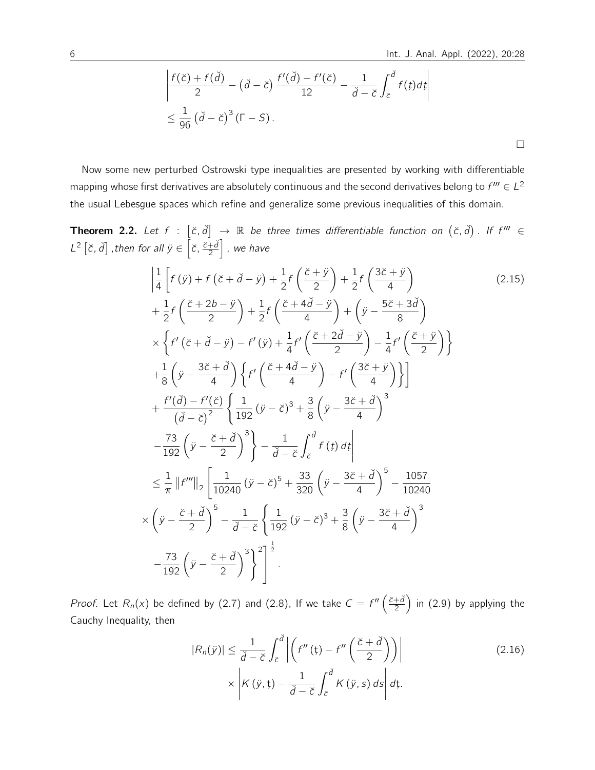$\Box$ 

$$
\left| \frac{f(\breve{c}) + f(\breve{d})}{2} - (\breve{d} - \breve{c}) \frac{f'(\breve{d}) - f'(\breve{c})}{12} - \frac{1}{\breve{d} - \breve{c}} \int_{\breve{c}}^{\breve{d}} f(t) dt \right|
$$
  

$$
\leq \frac{1}{96} (\breve{d} - \breve{c})^3 (\Gamma - S).
$$

Now some new perturbed Ostrowski type inequalities are presented by working with differentiable mapping whose first derivatives are absolutely continuous and the second derivatives belong to  $f''' \in L^2$ the usual Lebesgue spaces which refine and generalize some previous inequalities of this domain.

**Theorem 2.2.** Let  $f : [\check{c}, \check{d}] \to \mathbb{R}$  be three times differentiable function on  $(\check{c}, \check{d})$ . If  $f''' \in$  $L^2 [\check{c}, \check{d}]$  , then for all  $\ddot{y} \in \left[ \check{c}, \frac{\check{c} + \check{d}}{2} \right]$  $\left. \frac{1}{2} \right|$  , we have

$$
\left| \frac{1}{4} \left[ f(\ddot{y}) + f(\ddot{c} + \ddot{d} - \ddot{y}) + \frac{1}{2} f\left(\frac{\ddot{c} + \ddot{y}}{2}\right) + \frac{1}{2} f\left(\frac{3\ddot{c} + \ddot{y}}{4}\right) \right] \right|
$$
\n
$$
+ \frac{1}{2} f\left(\frac{\ddot{c} + 2b - \ddot{y}}{2}\right) + \frac{1}{2} f\left(\frac{\ddot{c} + 4\ddot{d} - \ddot{y}}{4}\right) + \left(\ddot{y} - \frac{5\ddot{c} + 3\ddot{d}}{8}\right)
$$
\n
$$
\times \left\{ f'(\ddot{c} + \ddot{d} - \ddot{y}) - f'(\ddot{y}) + \frac{1}{4} f'\left(\frac{\ddot{c} + 2\dot{d} - \ddot{y}}{2}\right) - \frac{1}{4} f'\left(\frac{\ddot{c} + \ddot{y}}{2}\right) \right\}
$$
\n
$$
+ \frac{1}{8} \left(\ddot{y} - \frac{3\ddot{c} + \ddot{d}}{4}\right) \left\{ f'\left(\frac{\ddot{c} + 4\ddot{d} - \ddot{y}}{4}\right) - f'\left(\frac{3\ddot{c} + \ddot{y}}{4}\right) \right\}
$$
\n
$$
+ \frac{f'(\ddot{d}) - f'(\dot{c})}{(\ddot{d} - \dot{c})^2} \left\{ \frac{1}{192} (\ddot{y} - \ddot{c})^3 + \frac{3}{8} (\dot{y} - \frac{3\dot{c} + \ddot{d}}{4})^3 \right\}
$$
\n
$$
- \frac{73}{192} (\ddot{y} - \frac{\ddot{c} + \ddot{d}}{2})^3 \right\} - \frac{1}{\ddot{d} - \ddot{c}} \int_{\ddot{c}}^{\ddot{d}} f(t) dt
$$
\n
$$
\leq \frac{1}{\pi} ||f'''||_2 \left[ \frac{1}{10240} (\ddot{y} - \ddot{c})^5 + \frac{33}{320} (\ddot{y} - \frac{3\ddot{c} + \ddot{d}}{4})^
$$

*Proof.* Let  $R_n(x)$  be defined by (2.7) and (2.8), If we take  $C = f''\left(\frac{\breve{c}+\breve{d}}{2}\right)$  $\left(\frac{1}{2}\right)$  in (2.9) by applying the Cauchy Inequality, then

$$
|R_n(\ddot{y})| \le \frac{1}{\ddot{d} - \breve{c}} \int_{\breve{c}}^{\breve{d}} \left| \left( f''\left(\mathfrak{t}\right) - f''\left(\frac{\breve{c} + \breve{d}}{2}\right) \right) \right| \qquad (2.16)
$$

$$
\times \left| K\left(\ddot{y}, \mathfrak{t}\right) - \frac{1}{\breve{d} - \breve{c}} \int_{\breve{c}}^{\breve{d}} K\left(\ddot{y}, s\right) ds \right| d\mathfrak{t}.
$$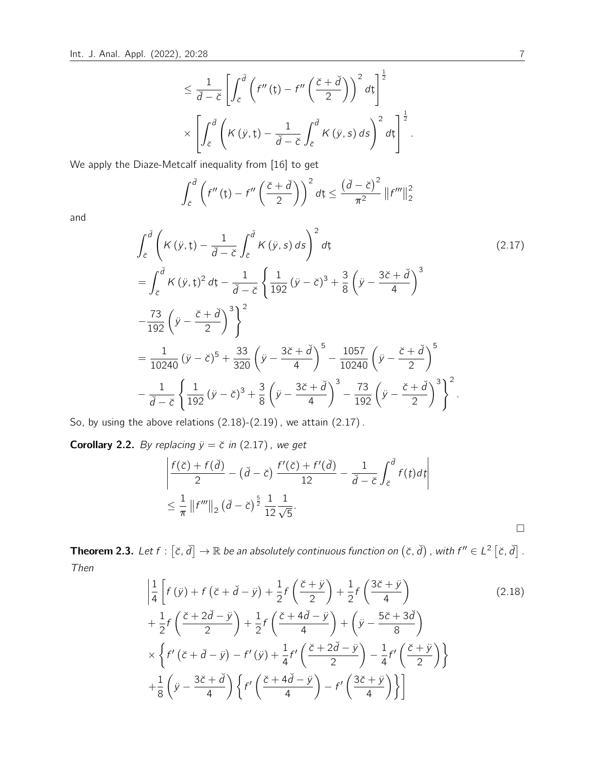$$
\leq \frac{1}{\check{d}-\check{c}}\left[\int_{\check{c}}^{\check{d}}\left(f''\left(\mathfrak{t}\right)-f''\left(\frac{\check{c}+\check{d}}{2}\right)\right)^{2}d\mathfrak{t}\right]^{\frac{1}{2}}\times\\\times\left[\int_{\check{c}}^{\check{d}}\left(K\left(\ddot{y},\mathfrak{t}\right)-\frac{1}{\check{d}-\check{c}}\int_{\check{c}}^{\check{d}}K\left(\ddot{y},s\right)ds\right)^{2}d\mathfrak{t}\right]^{\frac{1}{2}}.
$$

We apply the Diaze-Metcalf inequality from [16] to get

$$
\int_{\breve{c}}^{\breve{d}} \left( f''\left( t\right) - f''\left( \frac{\breve{c} + \breve{d}}{2} \right) \right)^2 d\zeta \leq \frac{\left( \breve{d} - \breve{c} \right)^2}{\pi^2} \left\| f''' \right\|_2^2
$$

and

$$
\int_{\tilde{c}}^{\tilde{d}} \left( K(\tilde{y}, t) - \frac{1}{\tilde{d} - \tilde{c}} \int_{\tilde{c}}^{\tilde{d}} K(\tilde{y}, s) ds \right)^{2} dt
$$
\n
$$
= \int_{\tilde{c}}^{\tilde{d}} K(\tilde{y}, t)^{2} dt - \frac{1}{\tilde{d} - \tilde{c}} \left\{ \frac{1}{192} (\tilde{y} - \tilde{c})^{3} + \frac{3}{8} (\tilde{y} - \frac{3\tilde{c} + \tilde{d}}{4})^{3} - \frac{73}{192} (\tilde{y} - \frac{\tilde{c} + \tilde{d}}{2}) \right\}^{2}
$$
\n
$$
= \frac{1}{10240} (\tilde{y} - \tilde{c})^{5} + \frac{33}{320} (\tilde{y} - \frac{3\tilde{c} + \tilde{d}}{4})^{5} - \frac{1057}{10240} (\tilde{y} - \frac{\tilde{c} + \tilde{d}}{2})^{5}
$$
\n
$$
- \frac{1}{\tilde{d} - \tilde{c}} \left\{ \frac{1}{192} (\tilde{y} - \tilde{c})^{3} + \frac{3}{8} (\tilde{y} - \frac{3\tilde{c} + \tilde{d}}{4})^{3} - \frac{73}{192} (\tilde{y} - \frac{\tilde{c} + \tilde{d}}{2})^{3} \right\}^{2}.
$$
\n(2.17)

So, by using the above relations (2.18)-(2.19) , we attain (2.17) .

**Corollary 2.2.** By replacing  $\ddot{y} = \breve{c}$  in (2.17), we get

$$
\left| \frac{f(\breve{c}) + f(\breve{d})}{2} - (\breve{d} - \breve{c}) \frac{f'(\breve{c}) + f'(\breve{d})}{12} - \frac{1}{\breve{d} - \breve{c}} \int_{\breve{c}}^{\breve{d}} f(t) dt \right|
$$
  

$$
\leq \frac{1}{\pi} \left\| f''' \right\|_2 (\breve{d} - \breve{c})^{\frac{5}{2}} \frac{1}{12} \frac{1}{\sqrt{5}}.
$$

**Theorem 2.3.** Let  $f : [\check{c}, \check{d}] \to \mathbb{R}$  be an absolutely continuous function on  $(\check{c}, \check{d})$  , with  $f'' \in L^2 [\check{c}, \check{d}]$  . Then

$$
\left| \frac{1}{4} \left[ f(\ddot{y}) + f(\ddot{c} + \ddot{d} - \ddot{y}) + \frac{1}{2} f\left(\frac{\ddot{c} + \ddot{y}}{2}\right) + \frac{1}{2} f\left(\frac{3\ddot{c} + \ddot{y}}{4}\right) + \frac{1}{2} f\left(\frac{\ddot{c} + 2\ddot{d} - \ddot{y}}{2}\right) + \frac{1}{2} f\left(\frac{\ddot{c} + 4\ddot{d} - \ddot{y}}{4}\right) + \left(\ddot{y} - \frac{5\ddot{c} + 3\ddot{d}}{8}\right) \times \left\{ f'(\ddot{c} + \ddot{d} - \ddot{y}) - f'(\ddot{y}) + \frac{1}{4} f'\left(\frac{\ddot{c} + 2\ddot{d} - \ddot{y}}{2}\right) - \frac{1}{4} f'\left(\frac{\ddot{c} + \ddot{y}}{2}\right) \right\} + \frac{1}{8} \left(\ddot{y} - \frac{3\ddot{c} + \ddot{d}}{4}\right) \left\{ f'\left(\frac{\ddot{c} + 4\ddot{d} - \ddot{y}}{4}\right) - f'\left(\frac{3\ddot{c} + \ddot{y}}{4}\right) \right\}
$$
\n(2.18)

 $\Box$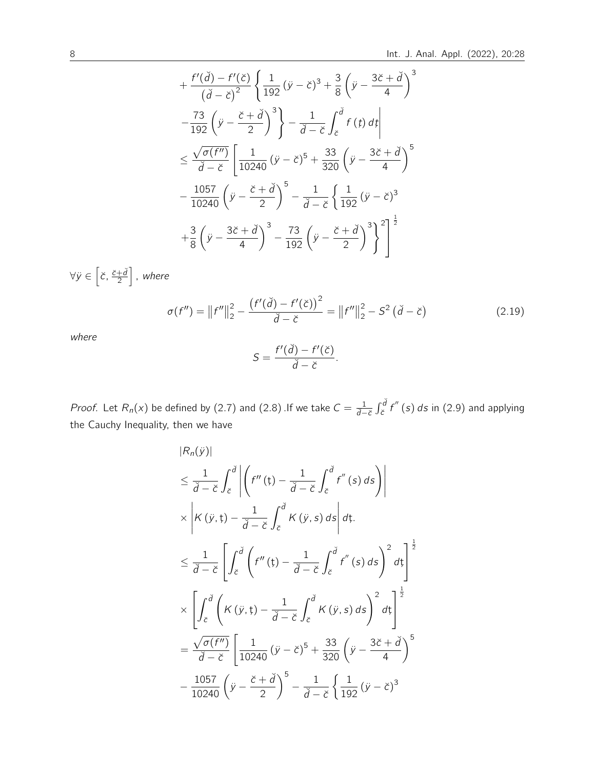$$
+\frac{f'(\check{d}) - f'(\check{c})}{(\check{d} - \check{c})^2} \left\{ \frac{1}{192} (\ddot{y} - \check{c})^3 + \frac{3}{8} (\ddot{y} - \frac{3\check{c} + \check{d}}{4})^3
$$

$$
-\frac{73}{192} (\ddot{y} - \frac{\check{c} + \check{d}}{2})^3 \right\} - \frac{1}{\check{d} - \check{c}} \int_{\check{c}}^{\check{d}} f(t) dt
$$

$$
\leq \frac{\sqrt{\sigma(f'')}}{\check{d} - \check{c}} \left[ \frac{1}{10240} (\ddot{y} - \check{c})^5 + \frac{33}{320} (\ddot{y} - \frac{3\check{c} + \check{d}}{4})^5 \right]
$$

$$
-\frac{1057}{10240} (\ddot{y} - \frac{\check{c} + \check{d}}{2})^5 - \frac{1}{\check{d} - \check{c}} \left\{ \frac{1}{192} (\ddot{y} - \check{c})^3 + \frac{3}{8} (\ddot{y} - \frac{3\check{c} + \check{d}}{4})^3 - \frac{73}{192} (\ddot{y} - \frac{\check{c} + \check{d}}{2})^3 \right\}^2 \right\}^{\frac{1}{2}}
$$

$$
\forall \ddot{y} \in \left[\ddot{c}, \frac{\ddot{c} + \ddot{d}}{2}\right], \text{ where}
$$
\n
$$
\sigma(f'') = \left\|f''\right\|_{2}^{2} - \frac{\left(f'(\breve{d}) - f'(\breve{c})\right)^{2}}{\breve{d} - \breve{c}} = \left\|f''\right\|_{2}^{2} - S^{2}(\breve{d} - \breve{c})
$$
\n(2.19)

where

$$
S=\frac{f'(\check{d})-f'(\check{c})}{\check{d}-\check{c}}.
$$

*Proof.* Let  $R_n(x)$  be defined by (2.7) and (2.8) .If we take  $C = \frac{1}{d-c} \int_c^d f''(s) ds$  in (2.9) and applying the Cauchy Inequality, then we have

$$
|R_n(\ddot{y})|
$$
  
\n
$$
\leq \frac{1}{\ddot{d}-\breve{c}} \int_{\breve{c}}^{\breve{d}} \left| \left( f''(\mathbf{t}) - \frac{1}{\ddot{d}-\breve{c}} \int_{\breve{c}}^{\breve{d}} f''(\mathbf{s}) d\mathbf{s} \right) \right|
$$
  
\n
$$
\times \left| K(\ddot{y}, \mathbf{t}) - \frac{1}{\ddot{d}-\breve{c}} \int_{\breve{c}}^{\breve{d}} K(\ddot{y}, \mathbf{s}) d\mathbf{s} \right| d\mathbf{t}.
$$
  
\n
$$
\leq \frac{1}{\ddot{d}-\breve{c}} \left[ \int_{\breve{c}}^{\breve{d}} \left( f''(\mathbf{t}) - \frac{1}{\ddot{d}-\breve{c}} \int_{\breve{c}}^{\breve{d}} f''(\mathbf{s}) d\mathbf{s} \right)^2 d\mathbf{t} \right]^{\frac{1}{2}}
$$
  
\n
$$
\times \left[ \int_{\breve{c}}^{\breve{d}} \left( K(\ddot{y}, \mathbf{t}) - \frac{1}{\breve{d}-\breve{c}} \int_{\breve{c}}^{\breve{d}} K(\ddot{y}, \mathbf{s}) d\mathbf{s} \right)^2 d\mathbf{t} \right]^{\frac{1}{2}}
$$
  
\n
$$
= \frac{\sqrt{\sigma(f'')}}{\breve{d}-\breve{c}} \left[ \frac{1}{10240} (\ddot{y}-\breve{c})^5 + \frac{33}{320} (\ddot{y} - \frac{3\breve{c}+\breve{d}}{4})^5 - \frac{1057}{10240} (\ddot{y} - \frac{\breve{c}+\breve{d}}{2})^5 - \frac{1}{\breve{d}-\breve{c}} \left\{ \frac{1}{192} (\ddot{y}-\breve{c})^3 \right\}
$$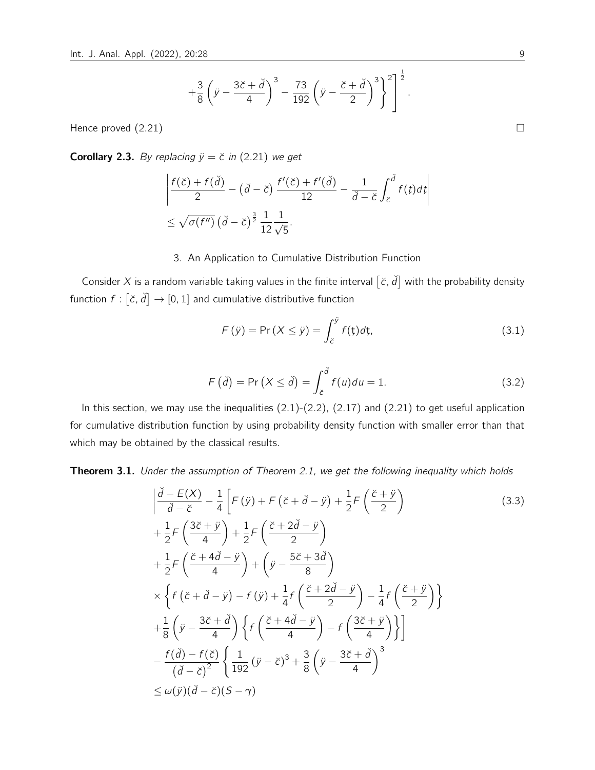$$
\left. +\frac{3}{8}\left(\ddot{y}-\frac{3\breve{c}+\breve{d}}{4}\right)^3-\frac{73}{192}\left(\ddot{y}-\frac{\breve{c}+\breve{d}}{2}\right)^3\right\}^2\right]^{\frac{1}{2}}
$$

Hence proved  $(2.21)$ 

**Corollary 2.3.** By replacing  $\ddot{y} = \ddot{c}$  in (2.21) we get

$$
\left| \frac{f(\breve{c}) + f(\breve{d})}{2} - (\breve{d} - \breve{c}) \frac{f'(\breve{c}) + f'(\breve{d})}{12} - \frac{1}{\breve{d} - \breve{c}} \int_{\breve{c}}^{\breve{d}} f(t) dt \right|
$$
  

$$
\leq \sqrt{\sigma(f'')} \left( \breve{d} - \breve{c} \right)^{\frac{3}{2}} \frac{1}{12} \frac{1}{\sqrt{5}}.
$$

## 3. An Application to Cumulative Distribution Function

Consider X is a random variable taking values in the finite interval  $[\check{c}, \check{d}]$  with the probability density function  $f: [\check{c}, \check{d}] \rightarrow [0, 1]$  and cumulative distributive function

$$
F(\ddot{y}) = \Pr(X \le \ddot{y}) = \int_{\breve{c}}^{\ddot{y}} f(\dot{y}) d\dot{y}, \tag{3.1}
$$

.

$$
F(\check{d}) = \Pr(X \le \check{d}) = \int_{\check{c}}^{\check{d}} f(u) du = 1.
$$
 (3.2)

In this section, we may use the inequalities  $(2.1)-(2.2)$ ,  $(2.17)$  and  $(2.21)$  to get useful application for cumulative distribution function by using probability density function with smaller error than that which may be obtained by the classical results.

**Theorem 3.1.** Under the assumption of Theorem 2.1, we get the following inequality which holds

$$
\begin{split}\n&\left|\frac{\check{d}-E(X)}{\check{d}-\check{c}}-\frac{1}{4}\left[F(\ddot{y})+F(\check{c}+\check{d}-\dot{y})+\frac{1}{2}F\left(\frac{\check{c}+\ddot{y}}{2}\right)\right.\right.\\
&+\frac{1}{2}F\left(\frac{3\check{c}+\ddot{y}}{4}\right)+\frac{1}{2}F\left(\frac{\check{c}+2\check{d}-\ddot{y}}{2}\right)\\
&+\frac{1}{2}F\left(\frac{\check{c}+4\check{d}-\ddot{y}}{4}\right)+\left(\ddot{y}-\frac{5\check{c}+3\check{d}}{8}\right)\\
&\times\left\{f(\check{c}+\check{d}-\ddot{y})-f(\ddot{y})+\frac{1}{4}f\left(\frac{\check{c}+2\check{d}-\ddot{y}}{2}\right)-\frac{1}{4}f\left(\frac{\check{c}+\ddot{y}}{2}\right)\right\}\\
&+\frac{1}{8}\left(\ddot{y}-\frac{3\check{c}+\check{d}}{4}\right)\left\{f\left(\frac{\check{c}+4\check{d}-\ddot{y}}{4}\right)-f\left(\frac{3\check{c}+\ddot{y}}{4}\right)\right\}\right]\\
&-\frac{f(\check{d})-f(\check{c})}{(\check{d}-\check{c})^2}\left\{\frac{1}{192}(\ddot{y}-\check{c})^3+\frac{3}{8}\left(\ddot{y}-\frac{3\check{c}+\check{d}}{4}\right)^3\\
&\leq \omega(\ddot{y})(\check{d}-\check{c})(S-\gamma)\n\end{split}
$$
(3.3)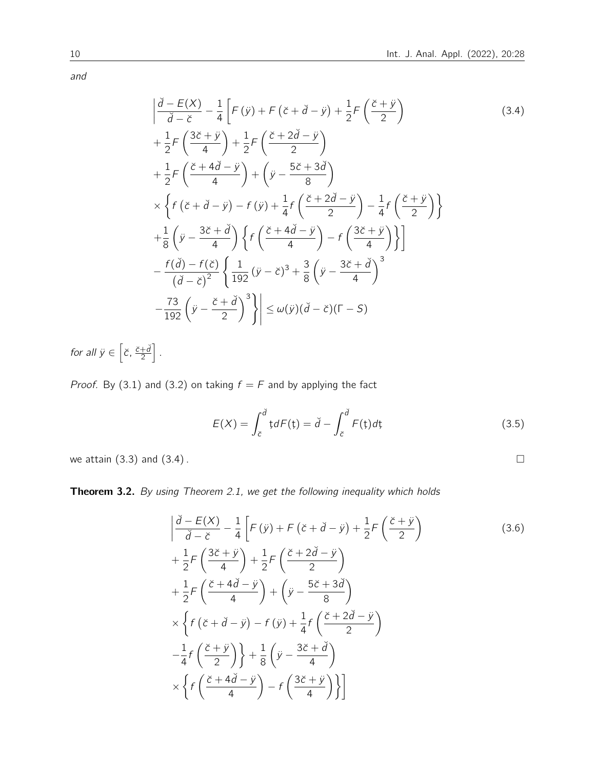and

$$
\left| \frac{\tilde{d} - E(X)}{\tilde{d} - \tilde{c}} - \frac{1}{4} \left[ F(\tilde{y}) + F(\tilde{c} + \tilde{d} - \tilde{y}) + \frac{1}{2} F\left(\frac{\tilde{c} + \tilde{y}}{2}\right) \right] \right|
$$
\n
$$
+ \frac{1}{2} F\left(\frac{3\tilde{c} + \tilde{y}}{4}\right) + \frac{1}{2} F\left(\frac{\tilde{c} + 2\tilde{d} - \tilde{y}}{2}\right)
$$
\n
$$
+ \frac{1}{2} F\left(\frac{\tilde{c} + 4\tilde{d} - \tilde{y}}{4}\right) + \left(\tilde{y} - \frac{5\tilde{c} + 3\tilde{d}}{8}\right)
$$
\n
$$
\times \left\{ f(\tilde{c} + \tilde{d} - \tilde{y}) - f(\tilde{y}) + \frac{1}{4} f\left(\frac{\tilde{c} + 2\tilde{d} - \tilde{y}}{2}\right) - \frac{1}{4} f\left(\frac{\tilde{c} + \tilde{y}}{2}\right) \right\}
$$
\n
$$
+ \frac{1}{8} \left(\tilde{y} - \frac{3\tilde{c} + \tilde{d}}{4}\right) \left\{ f\left(\frac{\tilde{c} + 4\tilde{d} - \tilde{y}}{4}\right) - f\left(\frac{3\tilde{c} + \tilde{y}}{4}\right) \right\}
$$
\n
$$
- \frac{f(\tilde{d}) - f(\tilde{c})}{(\tilde{d} - \tilde{c})^2} \left\{ \frac{1}{192} (\tilde{y} - \tilde{c})^3 + \frac{3}{8} (\tilde{y} - \frac{3\tilde{c} + \tilde{d}}{4})^3 \right\}
$$
\n
$$
- \frac{73}{192} (\tilde{y} - \frac{\tilde{c} + \tilde{d}}{2})^3 \right\} \le \omega(\tilde{y})(\tilde{d} - \tilde{c})(\Gamma - S)
$$
\n(3.4)

for all  $\ddot{y} \in \left[ \breve{c}, \frac{\breve{c} + \breve{d}}{2} \right]$  $\frac{1}{2}$ .

*Proof.* By (3.1) and (3.2) on taking  $f = F$  and by applying the fact

$$
E(X) = \int_{\breve{c}}^{\breve{d}} t dF(t) = \breve{d} - \int_{\breve{c}}^{\breve{d}} F(t) dt
$$
 (3.5)

we attain  $(3.3)$  and  $(3.4)$ .

Theorem 3.2. By using Theorem 2.1, we get the following inequality which holds

$$
\left| \frac{\check{d} - E(X)}{\check{d} - \check{c}} - \frac{1}{4} \left[ F(\check{y}) + F(\check{c} + \check{d} - \check{y}) + \frac{1}{2} F\left(\frac{\check{c} + \check{y}}{2}\right) \right] \right|
$$
\n
$$
+ \frac{1}{2} F\left(\frac{3\check{c} + \check{y}}{4}\right) + \frac{1}{2} F\left(\frac{\check{c} + 2\check{d} - \check{y}}{2}\right)
$$
\n
$$
+ \frac{1}{2} F\left(\frac{\check{c} + 4\check{d} - \check{y}}{4}\right) + \left(\check{y} - \frac{5\check{c} + 3\check{d}}{8}\right)
$$
\n
$$
\times \left\{ f\left(\check{c} + \check{d} - \check{y}\right) - f(\check{y}) + \frac{1}{4} f\left(\frac{\check{c} + 2\check{d} - \check{y}}{2}\right) \right\}
$$
\n
$$
- \frac{1}{4} f\left(\frac{\check{c} + \check{y}}{2}\right) + \frac{1}{8} \left(\check{y} - \frac{3\check{c} + \check{d}}{4}\right)
$$
\n
$$
\times \left\{ f\left(\frac{\check{c} + 4\check{d} - \check{y}}{4}\right) - f\left(\frac{3\check{c} + \check{y}}{4}\right) \right\}
$$
\n(3.6)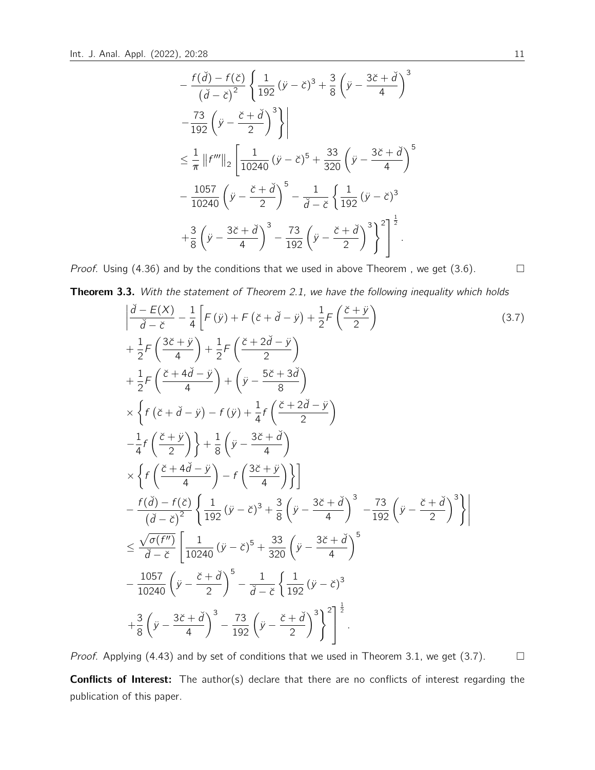$$
-\frac{f(\breve{d}) - f(\breve{c})}{(\breve{d} - \breve{c})^2} \left\{ \frac{1}{192} (\ddot{y} - \breve{c})^3 + \frac{3}{8} (\dot{y} - \frac{3\breve{c} + \breve{d}}{4})^3 \n- \frac{73}{192} (\ddot{y} - \frac{\breve{c} + \breve{d}}{2})^3 \right\} \n\le \frac{1}{\pi} ||f'''||_2 \left[ \frac{1}{10240} (\ddot{y} - \breve{c})^5 + \frac{33}{320} (\ddot{y} - \frac{3\breve{c} + \breve{d}}{4})^5 \n- \frac{1057}{10240} (\ddot{y} - \frac{\breve{c} + \breve{d}}{2})^5 - \frac{1}{\breve{d} - \breve{c}} \left\{ \frac{1}{192} (\ddot{y} - \breve{c})^3 \n+ \frac{3}{8} (\ddot{y} - \frac{3\breve{c} + \breve{d}}{4})^3 - \frac{73}{192} (\ddot{y} - \frac{\breve{c} + \breve{d}}{2})^3 \right\}^2 \right]^{\frac{1}{2}}.
$$

*Proof.* Using (4.36) and by the conditions that we used in above Theorem, we get (3.6).  $\Box$ 

Theorem 3.3. With the statement of Theorem 2.1, we have the following inequality which holds

$$
\left| \frac{\partial - E(X)}{\partial - \tilde{c}} - \frac{1}{4} \left[ F(\tilde{y}) + F(\tilde{c} + \tilde{d} - \tilde{y}) + \frac{1}{2} F\left(\frac{\tilde{c} + \tilde{y}}{2}\right) \right] \right|
$$
\n
$$
+ \frac{1}{2} F\left(\frac{3\tilde{c} + \tilde{y}}{4}\right) + \frac{1}{2} F\left(\frac{\tilde{c} + 2\tilde{d} - \tilde{y}}{2}\right)
$$
\n
$$
+ \frac{1}{2} F\left(\frac{\tilde{c} + 4\tilde{d} - \tilde{y}}{4}\right) + \left(\tilde{y} - \frac{5\tilde{c} + 3\tilde{d}}{8}\right)
$$
\n
$$
\times \left\{ f(\tilde{c} + \tilde{d} - \tilde{y}) - f(\tilde{y}) + \frac{1}{4} f\left(\frac{\tilde{c} + 2\tilde{d} - \tilde{y}}{2}\right) \right\}
$$
\n
$$
- \frac{1}{4} f\left(\frac{\tilde{c} + \tilde{y}}{2}\right) \right\} + \frac{1}{8} \left(\tilde{y} - \frac{3\tilde{c} + \tilde{d}}{4}\right)
$$
\n
$$
\times \left\{ f\left(\frac{\tilde{c} + 4\tilde{d} - \tilde{y}}{4}\right) - f\left(\frac{3\tilde{c} + \tilde{y}}{4}\right) \right\}
$$
\n
$$
- \frac{f(\tilde{d}) - f(\tilde{c})}{(\tilde{d} - \tilde{c})^2} \left\{ \frac{1}{192} (\tilde{y} - \tilde{c})^3 + \frac{3}{8} (\tilde{y} - \frac{3\tilde{c} + \tilde{d}}{4})^3 - \frac{73}{192} (\tilde{y} - \frac{\tilde{c} + \tilde{d}}{2})^3 \right\}
$$
\n
$$
\leq \frac{\sqrt{\sigma(f'')}}{\tilde{d} - \tilde{c}} \left[ \frac{1}{10240} (\tilde{y} - \tilde{c})^5 + \frac{33}{320} (\tilde{y} - \frac{3\tilde{c} + \tilde{d}}{4
$$

Proof. Applying (4.43) and by set of conditions that we used in Theorem 3.1, we get (3.7).  $\Box$ 

Conflicts of Interest: The author(s) declare that there are no conflicts of interest regarding the publication of this paper.